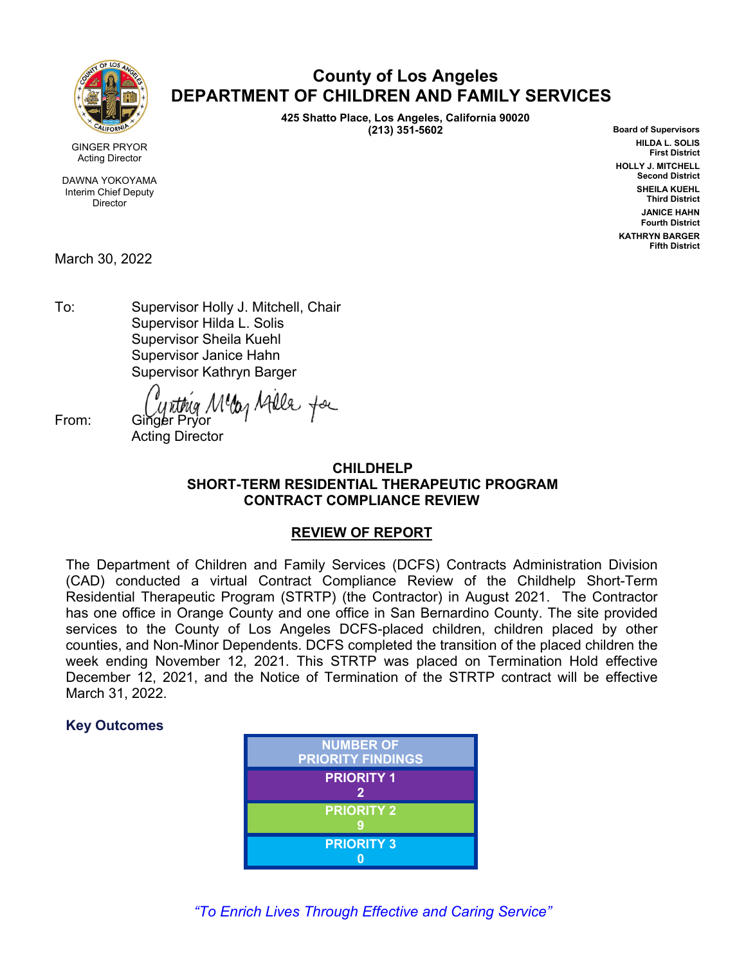

### **County of Los Angeles DEPARTMENT OF CHILDREN AND FAMILY SERVICES**

**425 Shatto Place, Los Angeles, California 90020 (213) 351-5602**

**Board of Supervisors HILDA L. SOLIS First District HOLLY J. MITCHELL Second District SHEILA KUEHL Third District JANICE HAHN Fourth District KATHRYN BARGER Fifth District**

GINGER PRYOR Acting Director

DAWNA YOKOYAMA Interim Chief Deputy Director

March 30, 2022

To: Supervisor Holly J. Mitchell, Chair Supervisor Hilda L. Solis Supervisor Sheila Kuehl Supervisor Janice Hahn Supervisor Kathryn Barger

From: *Cynthig Meller* Hills for

Acting Director

#### **CHILDHELP SHORT-TERM RESIDENTIAL THERAPEUTIC PROGRAM CONTRACT COMPLIANCE REVIEW**

#### **REVIEW OF REPORT**

The Department of Children and Family Services (DCFS) Contracts Administration Division (CAD) conducted a virtual Contract Compliance Review of the Childhelp Short-Term Residential Therapeutic Program (STRTP) (the Contractor) in August 2021. The Contractor has one office in Orange County and one office in San Bernardino County. The site provided services to the County of Los Angeles DCFS-placed children, children placed by other counties, and Non-Minor Dependents. DCFS completed the transition of the placed children the week ending November 12, 2021. This STRTP was placed on Termination Hold effective December 12, 2021, and the Notice of Termination of the STRTP contract will be effective March 31, 2022.

#### **Key Outcomes**

| <b>NUMBER OF</b><br><b>PRIORITY FINDINGS</b> |
|----------------------------------------------|
| <b>PRIORITY 1</b><br>2                       |
| <b>PRIORITY 2</b>                            |
| <b>PRIORITY 3</b>                            |

*"To Enrich Lives Through Effective and Caring Service"*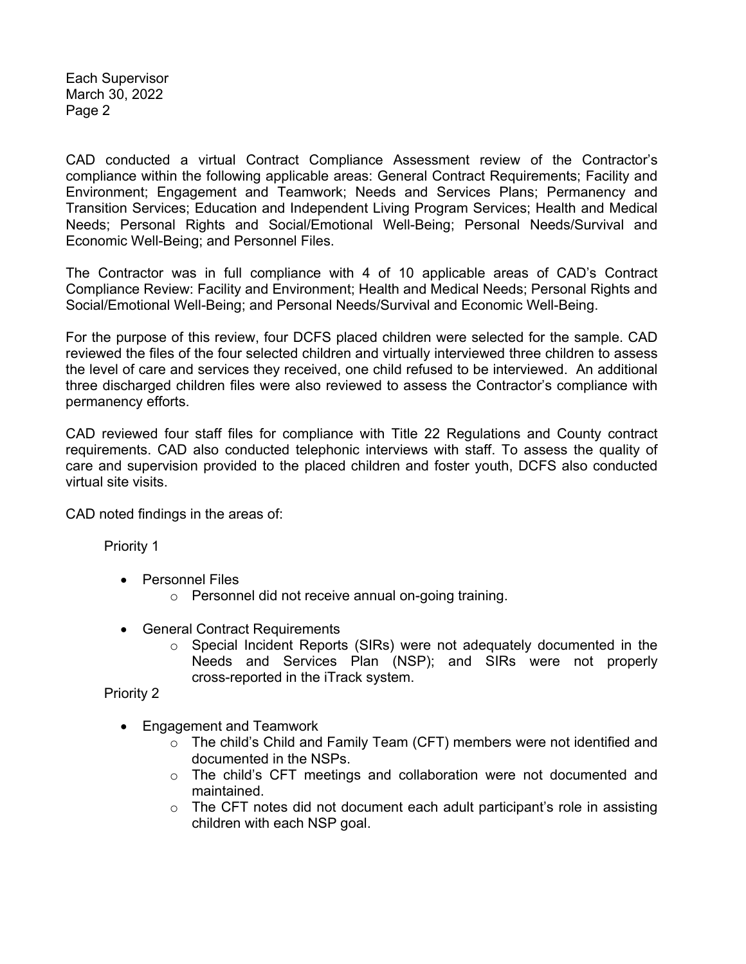Each Supervisor March 30, 2022 Page 2

CAD conducted a virtual Contract Compliance Assessment review of the Contractor's compliance within the following applicable areas: General Contract Requirements; Facility and Environment; Engagement and Teamwork; Needs and Services Plans; Permanency and Transition Services; Education and Independent Living Program Services; Health and Medical Needs; Personal Rights and Social/Emotional Well-Being; Personal Needs/Survival and Economic Well-Being; and Personnel Files.

The Contractor was in full compliance with 4 of 10 applicable areas of CAD's Contract Compliance Review: Facility and Environment; Health and Medical Needs; Personal Rights and Social/Emotional Well-Being; and Personal Needs/Survival and Economic Well-Being.

For the purpose of this review, four DCFS placed children were selected for the sample. CAD reviewed the files of the four selected children and virtually interviewed three children to assess the level of care and services they received, one child refused to be interviewed. An additional three discharged children files were also reviewed to assess the Contractor's compliance with permanency efforts.

CAD reviewed four staff files for compliance with Title 22 Regulations and County contract requirements. CAD also conducted telephonic interviews with staff. To assess the quality of care and supervision provided to the placed children and foster youth, DCFS also conducted virtual site visits.

CAD noted findings in the areas of:

Priority 1

- Personnel Files
	- o Personnel did not receive annual on-going training.
- General Contract Requirements
	- o Special Incident Reports (SIRs) were not adequately documented in the Needs and Services Plan (NSP); and SIRs were not properly cross-reported in the iTrack system.

Priority 2

- Engagement and Teamwork
	- o The child's Child and Family Team (CFT) members were not identified and documented in the NSPs.
	- $\circ$  The child's CFT meetings and collaboration were not documented and maintained.
	- $\circ$  The CFT notes did not document each adult participant's role in assisting children with each NSP goal.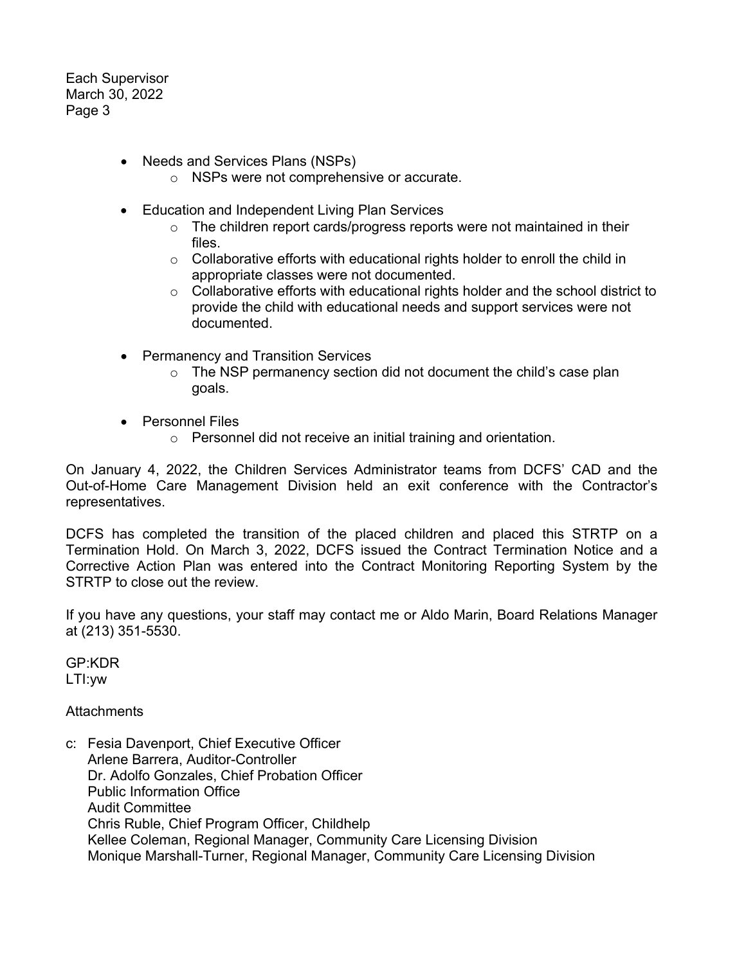Each Supervisor March 30, 2022 Page 3

- Needs and Services Plans (NSPs)
	- o NSPs were not comprehensive or accurate.
- Education and Independent Living Plan Services
	- o The children report cards/progress reports were not maintained in their files.
	- $\circ$  Collaborative efforts with educational rights holder to enroll the child in appropriate classes were not documented.
	- o Collaborative efforts with educational rights holder and the school district to provide the child with educational needs and support services were not documented.
- Permanency and Transition Services
	- $\circ$  The NSP permanency section did not document the child's case plan goals.
- Personnel Files
	- o Personnel did not receive an initial training and orientation.

On January 4, 2022, the Children Services Administrator teams from DCFS' CAD and the Out-of-Home Care Management Division held an exit conference with the Contractor's representatives.

DCFS has completed the transition of the placed children and placed this STRTP on a Termination Hold. On March 3, 2022, DCFS issued the Contract Termination Notice and a Corrective Action Plan was entered into the Contract Monitoring Reporting System by the STRTP to close out the review.

If you have any questions, your staff may contact me or Aldo Marin, Board Relations Manager at (213) 351-5530.

GP:KDR LTI:yw

#### **Attachments**

c: Fesia Davenport, Chief Executive Officer Arlene Barrera, Auditor-Controller Dr. Adolfo Gonzales, Chief Probation Officer Public Information Office Audit Committee Chris Ruble, Chief Program Officer, Childhelp Kellee Coleman, Regional Manager, Community Care Licensing Division Monique Marshall-Turner, Regional Manager, Community Care Licensing Division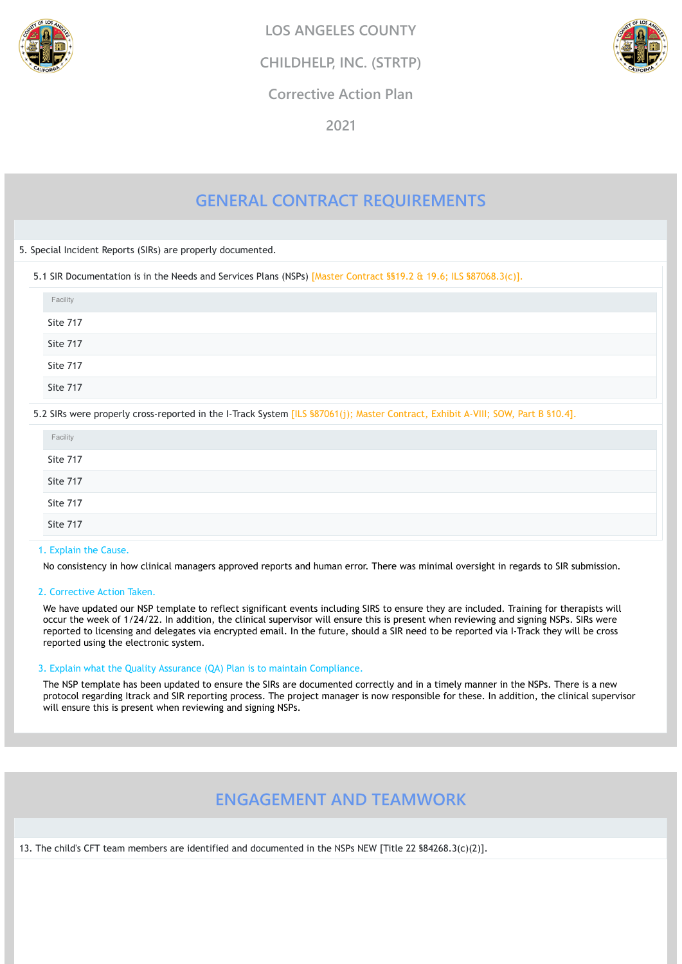# **GENERAL CONTRACT REQUIREMENTS**

5. Special Incident Reports (SIRs) are properly documented.

5.1 SIR Documentation is in the Needs and Services Plans (NSPs) [Master Contract §§19.2 & 19.6; ILS §87068.3(c)].

#### 1. Explain the Cause.

No consistency in how clinical managers approved reports and human error. There was minimal oversight in regards to SIR submission.

#### 2. Corrective Action Taken.

We have updated our NSP template to reflect significant events including SIRS to ensure they are included. Training for therapists will occur the week of 1/24/22. In addition, the clinical supervisor will ensure this is present when reviewing and signing NSPs. SIRs were reported to licensing and delegates via encrypted email. In the future, should a SIR need to be reported via I-Track they will be cross reported using the electronic system.

| Facility |  |
|----------|--|
| Site 717 |  |
| Site 717 |  |
| Site 717 |  |
| Site 717 |  |

5.2 SIRs were properly cross-reported in the I-Track System [ILS §87061(j); Master Contract, Exhibit A-VIII; SOW, Part B §10.4].

| Facility |  |
|----------|--|
| Site 717 |  |
| Site 717 |  |
| Site 717 |  |
| Site 717 |  |

#### 3. Explain what the Quality Assurance (QA) Plan is to maintain Compliance.

The NSP template has been updated to ensure the SIRs are documented correctly and in a timely manner in the NSPs. There is a new protocol regarding Itrack and SIR reporting process. The project manager is now responsible for these. In addition, the clinical supervisor will ensure this is present when reviewing and signing NSPs.

## **ENGAGEMENT AND TEAMWORK**

13. The child's CFT team members are identified and documented in the NSPs NEW [Title 22 §84268.3(c)(2)].



**LOS ANGELES COUNTY**

**CHILDHELP, INC. (STRTP)**



**Corrective Action Plan**

**2021**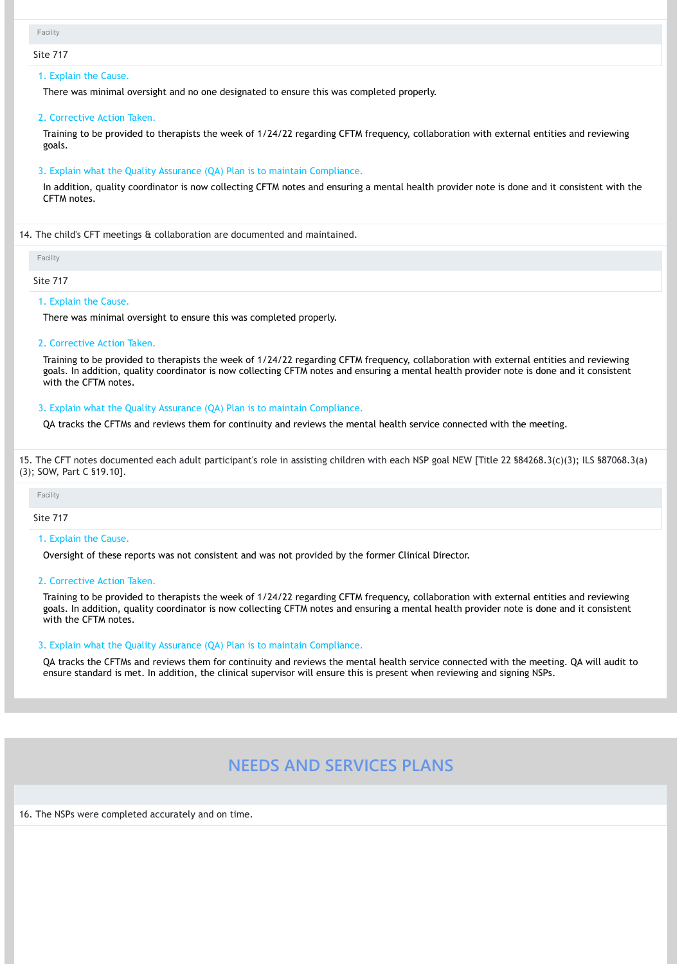#### Site 717

#### 1. Explain the Cause.

There was minimal oversight and no one designated to ensure this was completed properly.

#### 2. Corrective Action Taken.

Training to be provided to therapists the week of 1/24/22 regarding CFTM frequency, collaboration with external entities and reviewing goals.

#### 3. Explain what the Quality Assurance (QA) Plan is to maintain Compliance.

In addition, quality coordinator is now collecting CFTM notes and ensuring a mental health provider note is done and it consistent with the CFTM notes.

14. The child's CFT meetings & collaboration are documented and maintained.

#### Site 717

#### 1. Explain the Cause.

There was minimal oversight to ensure this was completed properly.

#### 2. Corrective Action Taken.

Training to be provided to therapists the week of 1/24/22 regarding CFTM frequency, collaboration with external entities and reviewing goals. In addition, quality coordinator is now collecting CFTM notes and ensuring a mental health provider note is done and it consistent with the CFTM notes.

#### 3. Explain what the Quality Assurance (QA) Plan is to maintain Compliance.

QA tracks the CFTMs and reviews them for continuity and reviews the mental health service connected with the meeting.

15. The CFT notes documented each adult participant's role in assisting children with each NSP goal NEW [Title 22 §84268.3(c)(3); ILS §87068.3(a) (3); SOW, Part C §19.10].

Site 717

#### 1. Explain the Cause.

Oversight of these reports was not consistent and was not provided by the former Clinical Director.

#### 2. Corrective Action Taken.

Training to be provided to therapists the week of 1/24/22 regarding CFTM frequency, collaboration with external entities and reviewing goals. In addition, quality coordinator is now collecting CFTM notes and ensuring a mental health provider note is done and it consistent with the CFTM notes.

#### 3. Explain what the Quality Assurance (QA) Plan is to maintain Compliance.

QA tracks the CFTMs and reviews them for continuity and reviews the mental health service connected with the meeting. QA will audit to ensure standard is met. In addition, the clinical supervisor will ensure this is present when reviewing and signing NSPs.

### **NEEDS AND SERVICES PLANS**

16. The NSPs were completed accurately and on time.

```
Facility
```
Facility

Facility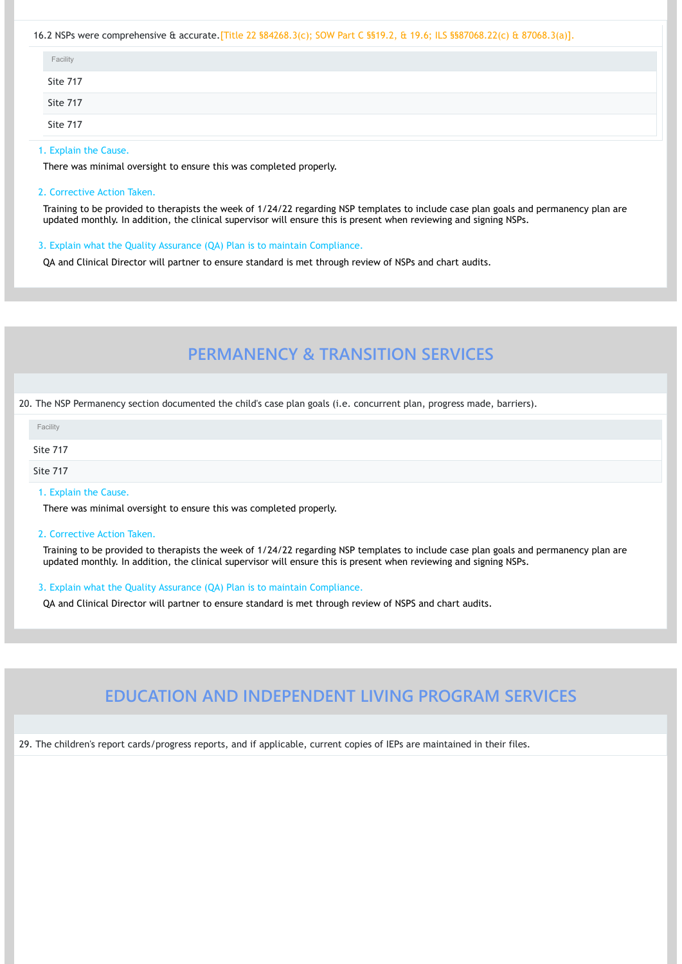#### 16.2 NSPs were comprehensive & accurate.[Title 22 §84268.3(c); SOW Part C §§19.2, & 19.6; ILS §§87068.22(c) & 87068.3(a)].

#### 1. Explain the Cause.

There was minimal oversight to ensure this was completed properly.

#### 2. Corrective Action Taken.

Training to be provided to therapists the week of 1/24/22 regarding NSP templates to include case plan goals and permanency plan are updated monthly. In addition, the clinical supervisor will ensure this is present when reviewing and signing NSPs.

3. Explain what the Quality Assurance (QA) Plan is to maintain Compliance.

QA and Clinical Director will partner to ensure standard is met through review of NSPs and chart audits.

# **PERMANENCY & TRANSITION SERVICES**

#### 20. The NSP Permanency section documented the child's case plan goals (i.e. concurrent plan, progress made, barriers).

| Facility |  |  |
|----------|--|--|
| Site 717 |  |  |
| Site 717 |  |  |
| Site 717 |  |  |

#### 1. Explain the Cause.

There was minimal oversight to ensure this was completed properly.

#### 2. Corrective Action Taken.

Training to be provided to therapists the week of 1/24/22 regarding NSP templates to include case plan goals and permanency plan are updated monthly. In addition, the clinical supervisor will ensure this is present when reviewing and signing NSPs.

| Facility |  |
|----------|--|
| Site 717 |  |
| Site 717 |  |

3. Explain what the Quality Assurance (QA) Plan is to maintain Compliance.

QA and Clinical Director will partner to ensure standard is met through review of NSPS and chart audits.

# **EDUCATION AND INDEPENDENT LIVING PROGRAM SERVICES**

29. The children's report cards/progress reports, and if applicable, current copies of IEPs are maintained in their files.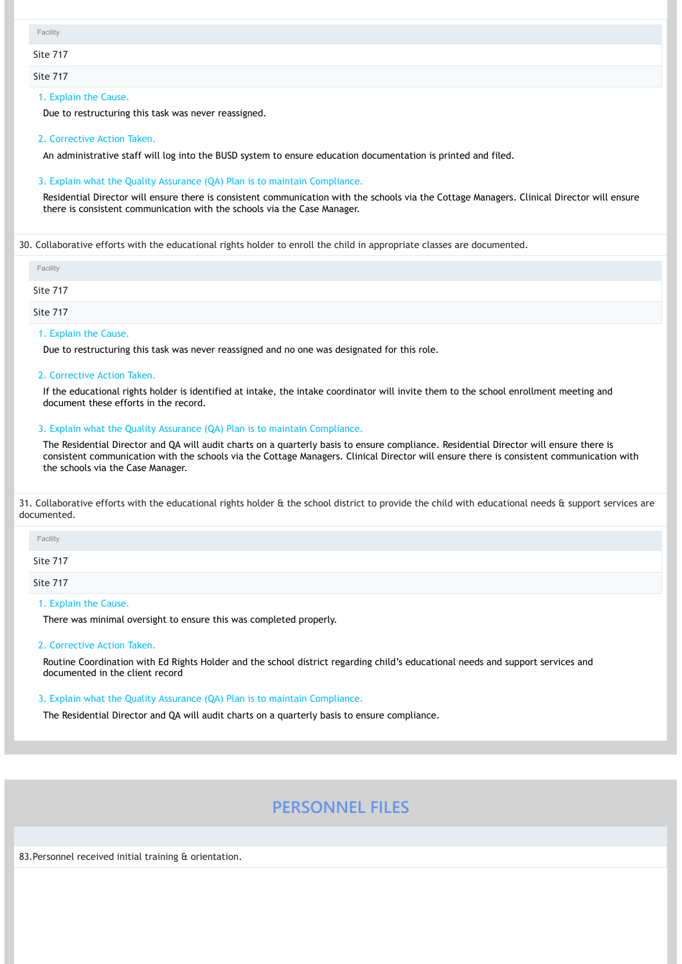Site 717

Site 717

#### 1. Explain the Cause.

Due to restructuring this task was never reassigned.

#### 2. Corrective Action Taken.

An administrative staff will log into the BUSD system to ensure education documentation is printed and filed.

#### 3. Explain what the Quality Assurance (QA) Plan is to maintain Compliance.

Residential Director will ensure there is consistent communication with the schools via the Cottage Managers. Clinical Director will ensure there is consistent communication with the schools via the Case Manager.

30. Collaborative efforts with the educational rights holder to enroll the child in appropriate classes are documented.

1. Explain the Cause.

Due to restructuring this task was never reassigned and no one was designated for this role.

31. Collaborative efforts with the educational rights holder & the school district to provide the child with educational needs & support services are documented.

#### 2. Corrective Action Taken.

If the educational rights holder is identified at intake, the intake coordinator will invite them to the school enrollment meeting and document these efforts in the record.

#### 3. Explain what the Quality Assurance (QA) Plan is to maintain Compliance.

The Residential Director and QA will audit charts on a quarterly basis to ensure compliance. Residential Director will ensure there is consistent communication with the schools via the Cottage Managers. Clinical Director will ensure there is consistent communication with the schools via the Case Manager.

| Facility |  |  |
|----------|--|--|
| Site 717 |  |  |
| Site 717 |  |  |

#### 1. Explain the Cause.

There was minimal oversight to ensure this was completed properly.

#### 2. Corrective Action Taken.

Routine Coordination with Ed Rights Holder and the school district regarding child's educational needs and support services and documented in the client record

| Facility |  |
|----------|--|
| Site 717 |  |
| Site 717 |  |

#### 3. Explain what the Quality Assurance (QA) Plan is to maintain Compliance.

The Residential Director and QA will audit charts on a quarterly basis to ensure compliance.

### **PERSONNEL FILES**

83.Personnel received initial training & orientation.

|  | acility |  |
|--|---------|--|
|  |         |  |